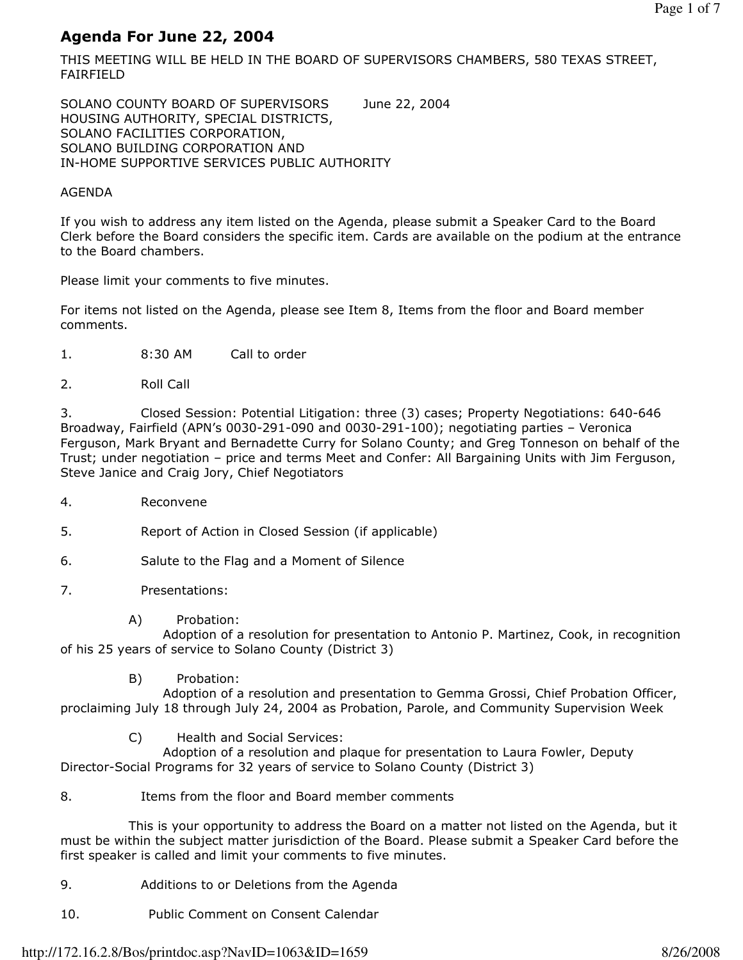### Agenda For June 22, 2004

THIS MEETING WILL BE HELD IN THE BOARD OF SUPERVISORS CHAMBERS, 580 TEXAS STREET, FAIRFIELD

SOLANO COUNTY BOARD OF SUPERVISORS June 22, 2004 HOUSING AUTHORITY, SPECIAL DISTRICTS, SOLANO FACILITIES CORPORATION, SOLANO BUILDING CORPORATION AND IN-HOME SUPPORTIVE SERVICES PUBLIC AUTHORITY

#### AGENDA

If you wish to address any item listed on the Agenda, please submit a Speaker Card to the Board Clerk before the Board considers the specific item. Cards are available on the podium at the entrance to the Board chambers.

Please limit your comments to five minutes.

For items not listed on the Agenda, please see Item 8, Items from the floor and Board member comments.

- 1. 8:30 AM Call to order
- 2. Roll Call

3. Closed Session: Potential Litigation: three (3) cases; Property Negotiations: 640-646 Broadway, Fairfield (APN's 0030-291-090 and 0030-291-100); negotiating parties – Veronica Ferguson, Mark Bryant and Bernadette Curry for Solano County; and Greg Tonneson on behalf of the Trust; under negotiation – price and terms Meet and Confer: All Bargaining Units with Jim Ferguson, Steve Janice and Craig Jory, Chief Negotiators

- 4. Reconvene
- 5. Report of Action in Closed Session (if applicable)
- 6. Salute to the Flag and a Moment of Silence
- 7. Presentations:
	- A) Probation:

 Adoption of a resolution for presentation to Antonio P. Martinez, Cook, in recognition of his 25 years of service to Solano County (District 3)

B) Probation:

 Adoption of a resolution and presentation to Gemma Grossi, Chief Probation Officer, proclaiming July 18 through July 24, 2004 as Probation, Parole, and Community Supervision Week

C) Health and Social Services:

 Adoption of a resolution and plaque for presentation to Laura Fowler, Deputy Director-Social Programs for 32 years of service to Solano County (District 3)

8. Items from the floor and Board member comments

 This is your opportunity to address the Board on a matter not listed on the Agenda, but it must be within the subject matter jurisdiction of the Board. Please submit a Speaker Card before the first speaker is called and limit your comments to five minutes.

- 9. Additions to or Deletions from the Agenda
- 10. Public Comment on Consent Calendar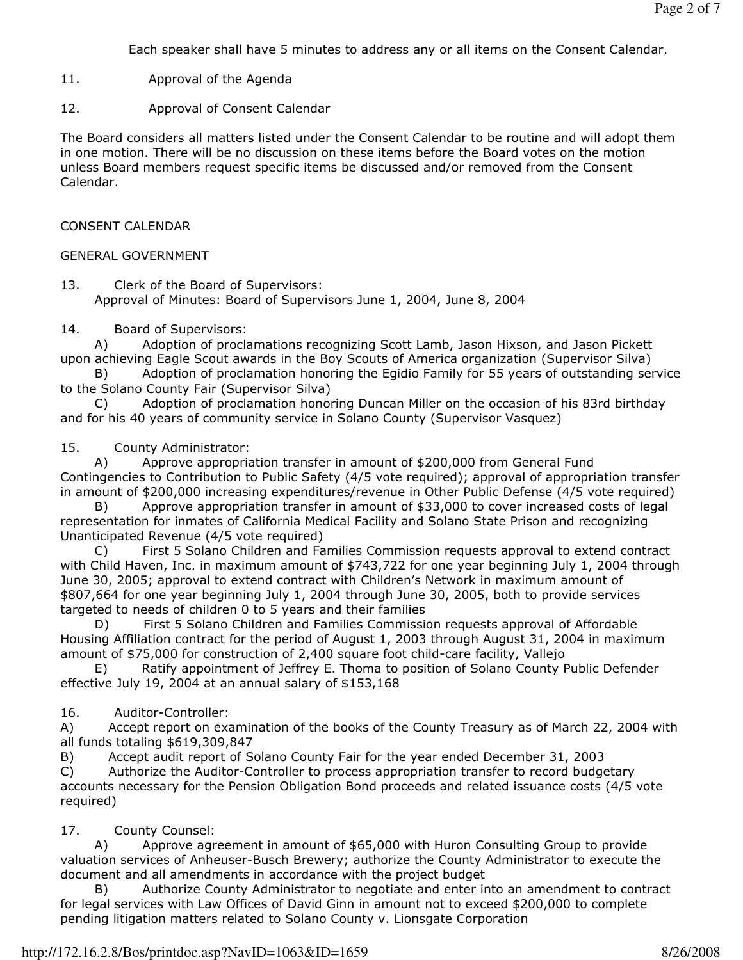Each speaker shall have 5 minutes to address any or all items on the Consent Calendar.

11. Approval of the Agenda

12. Approval of Consent Calendar

The Board considers all matters listed under the Consent Calendar to be routine and will adopt them in one motion. There will be no discussion on these items before the Board votes on the motion unless Board members request specific items be discussed and/or removed from the Consent Calendar.

#### CONSENT CALENDAR

#### GENERAL GOVERNMENT

13. Clerk of the Board of Supervisors: Approval of Minutes: Board of Supervisors June 1, 2004, June 8, 2004

#### 14. Board of Supervisors:

 A) Adoption of proclamations recognizing Scott Lamb, Jason Hixson, and Jason Pickett upon achieving Eagle Scout awards in the Boy Scouts of America organization (Supervisor Silva)

 B) Adoption of proclamation honoring the Egidio Family for 55 years of outstanding service to the Solano County Fair (Supervisor Silva)

 C) Adoption of proclamation honoring Duncan Miller on the occasion of his 83rd birthday and for his 40 years of community service in Solano County (Supervisor Vasquez)

#### 15. County Administrator:

 A) Approve appropriation transfer in amount of \$200,000 from General Fund Contingencies to Contribution to Public Safety (4/5 vote required); approval of appropriation transfer in amount of \$200,000 increasing expenditures/revenue in Other Public Defense (4/5 vote required)

Approve appropriation transfer in amount of \$33,000 to cover increased costs of legal representation for inmates of California Medical Facility and Solano State Prison and recognizing Unanticipated Revenue (4/5 vote required)

 C) First 5 Solano Children and Families Commission requests approval to extend contract with Child Haven, Inc. in maximum amount of \$743,722 for one year beginning July 1, 2004 through June 30, 2005; approval to extend contract with Children's Network in maximum amount of \$807,664 for one year beginning July 1, 2004 through June 30, 2005, both to provide services targeted to needs of children 0 to 5 years and their families

 D) First 5 Solano Children and Families Commission requests approval of Affordable Housing Affiliation contract for the period of August 1, 2003 through August 31, 2004 in maximum amount of \$75,000 for construction of 2,400 square foot child-care facility, Vallejo

 E) Ratify appointment of Jeffrey E. Thoma to position of Solano County Public Defender effective July 19, 2004 at an annual salary of \$153,168

#### 16. Auditor-Controller:

A) Accept report on examination of the books of the County Treasury as of March 22, 2004 with all funds totaling \$619,309,847

B) Accept audit report of Solano County Fair for the year ended December 31, 2003

C) Authorize the Auditor-Controller to process appropriation transfer to record budgetary accounts necessary for the Pension Obligation Bond proceeds and related issuance costs (4/5 vote required)

#### 17. County Counsel:

 A) Approve agreement in amount of \$65,000 with Huron Consulting Group to provide valuation services of Anheuser-Busch Brewery; authorize the County Administrator to execute the document and all amendments in accordance with the project budget

 B) Authorize County Administrator to negotiate and enter into an amendment to contract for legal services with Law Offices of David Ginn in amount not to exceed \$200,000 to complete pending litigation matters related to Solano County v. Lionsgate Corporation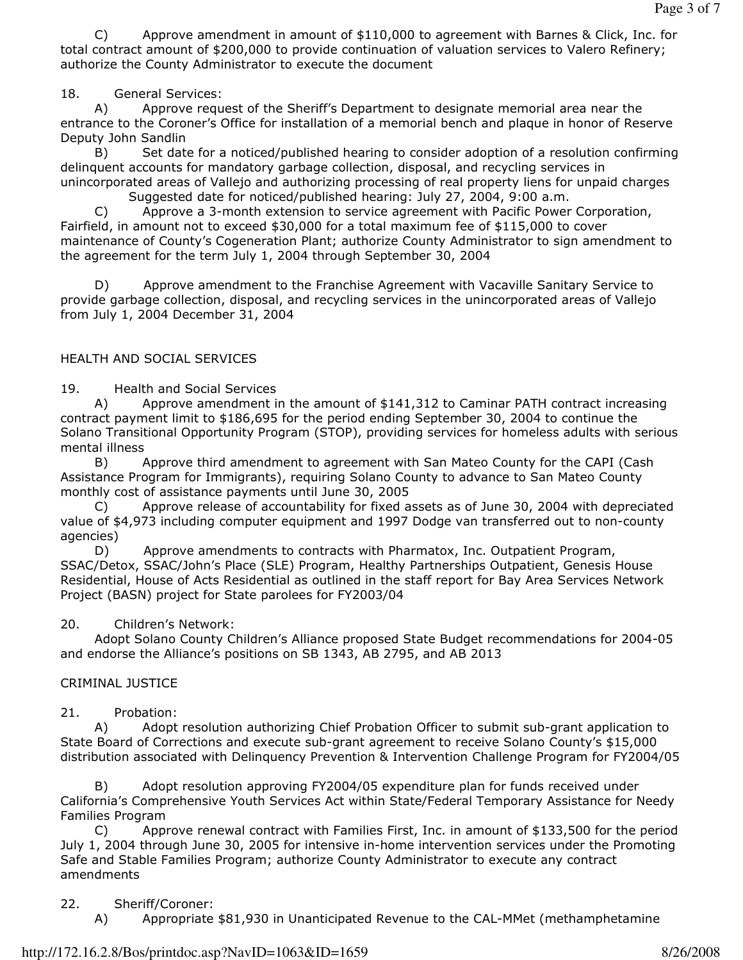C) Approve amendment in amount of \$110,000 to agreement with Barnes & Click, Inc. for total contract amount of \$200,000 to provide continuation of valuation services to Valero Refinery; authorize the County Administrator to execute the document

## 18. General Services:

 A) Approve request of the Sheriff's Department to designate memorial area near the entrance to the Coroner's Office for installation of a memorial bench and plaque in honor of Reserve Deputy John Sandlin

 B) Set date for a noticed/published hearing to consider adoption of a resolution confirming delinquent accounts for mandatory garbage collection, disposal, and recycling services in unincorporated areas of Vallejo and authorizing processing of real property liens for unpaid charges

Suggested date for noticed/published hearing: July 27, 2004, 9:00 a.m.

 C) Approve a 3-month extension to service agreement with Pacific Power Corporation, Fairfield, in amount not to exceed \$30,000 for a total maximum fee of \$115,000 to cover maintenance of County's Cogeneration Plant; authorize County Administrator to sign amendment to the agreement for the term July 1, 2004 through September 30, 2004

 D) Approve amendment to the Franchise Agreement with Vacaville Sanitary Service to provide garbage collection, disposal, and recycling services in the unincorporated areas of Vallejo from July 1, 2004 December 31, 2004

## HEALTH AND SOCIAL SERVICES

19. Health and Social Services

 A) Approve amendment in the amount of \$141,312 to Caminar PATH contract increasing contract payment limit to \$186,695 for the period ending September 30, 2004 to continue the Solano Transitional Opportunity Program (STOP), providing services for homeless adults with serious mental illness

 B) Approve third amendment to agreement with San Mateo County for the CAPI (Cash Assistance Program for Immigrants), requiring Solano County to advance to San Mateo County monthly cost of assistance payments until June 30, 2005

 C) Approve release of accountability for fixed assets as of June 30, 2004 with depreciated value of \$4,973 including computer equipment and 1997 Dodge van transferred out to non-county agencies)

 D) Approve amendments to contracts with Pharmatox, Inc. Outpatient Program, SSAC/Detox, SSAC/John's Place (SLE) Program, Healthy Partnerships Outpatient, Genesis House Residential, House of Acts Residential as outlined in the staff report for Bay Area Services Network Project (BASN) project for State parolees for FY2003/04

## 20. Children's Network:

 Adopt Solano County Children's Alliance proposed State Budget recommendations for 2004-05 and endorse the Alliance's positions on SB 1343, AB 2795, and AB 2013

# CRIMINAL JUSTICE

# 21. Probation:

 A) Adopt resolution authorizing Chief Probation Officer to submit sub-grant application to State Board of Corrections and execute sub-grant agreement to receive Solano County's \$15,000 distribution associated with Delinquency Prevention & Intervention Challenge Program for FY2004/05

 B) Adopt resolution approving FY2004/05 expenditure plan for funds received under California's Comprehensive Youth Services Act within State/Federal Temporary Assistance for Needy Families Program

 C) Approve renewal contract with Families First, Inc. in amount of \$133,500 for the period July 1, 2004 through June 30, 2005 for intensive in-home intervention services under the Promoting Safe and Stable Families Program; authorize County Administrator to execute any contract amendments

# 22. Sheriff/Coroner:

A) Appropriate \$81,930 in Unanticipated Revenue to the CAL-MMet (methamphetamine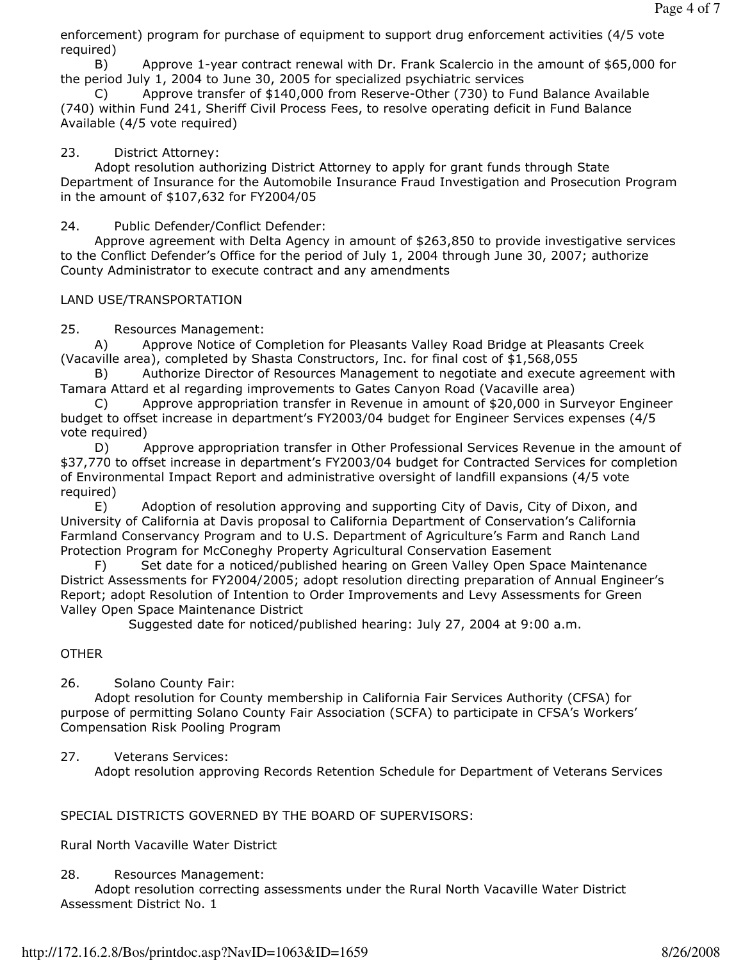enforcement) program for purchase of equipment to support drug enforcement activities (4/5 vote required)

 B) Approve 1-year contract renewal with Dr. Frank Scalercio in the amount of \$65,000 for the period July 1, 2004 to June 30, 2005 for specialized psychiatric services

 C) Approve transfer of \$140,000 from Reserve-Other (730) to Fund Balance Available (740) within Fund 241, Sheriff Civil Process Fees, to resolve operating deficit in Fund Balance Available (4/5 vote required)

#### 23. District Attorney:

 Adopt resolution authorizing District Attorney to apply for grant funds through State Department of Insurance for the Automobile Insurance Fraud Investigation and Prosecution Program in the amount of \$107,632 for FY2004/05

24. Public Defender/Conflict Defender:

 Approve agreement with Delta Agency in amount of \$263,850 to provide investigative services to the Conflict Defender's Office for the period of July 1, 2004 through June 30, 2007; authorize County Administrator to execute contract and any amendments

#### LAND USE/TRANSPORTATION

25. Resources Management:

 A) Approve Notice of Completion for Pleasants Valley Road Bridge at Pleasants Creek (Vacaville area), completed by Shasta Constructors, Inc. for final cost of \$1,568,055

 B) Authorize Director of Resources Management to negotiate and execute agreement with Tamara Attard et al regarding improvements to Gates Canyon Road (Vacaville area)

 C) Approve appropriation transfer in Revenue in amount of \$20,000 in Surveyor Engineer budget to offset increase in department's FY2003/04 budget for Engineer Services expenses (4/5 vote required)

 D) Approve appropriation transfer in Other Professional Services Revenue in the amount of \$37,770 to offset increase in department's FY2003/04 budget for Contracted Services for completion of Environmental Impact Report and administrative oversight of landfill expansions (4/5 vote required)

 E) Adoption of resolution approving and supporting City of Davis, City of Dixon, and University of California at Davis proposal to California Department of Conservation's California Farmland Conservancy Program and to U.S. Department of Agriculture's Farm and Ranch Land Protection Program for McConeghy Property Agricultural Conservation Easement

 F) Set date for a noticed/published hearing on Green Valley Open Space Maintenance District Assessments for FY2004/2005; adopt resolution directing preparation of Annual Engineer's Report; adopt Resolution of Intention to Order Improvements and Levy Assessments for Green Valley Open Space Maintenance District

Suggested date for noticed/published hearing: July 27, 2004 at 9:00 a.m.

#### **OTHER**

#### 26. Solano County Fair:

 Adopt resolution for County membership in California Fair Services Authority (CFSA) for purpose of permitting Solano County Fair Association (SCFA) to participate in CFSA's Workers' Compensation Risk Pooling Program

#### 27. Veterans Services:

Adopt resolution approving Records Retention Schedule for Department of Veterans Services

#### SPECIAL DISTRICTS GOVERNED BY THE BOARD OF SUPERVISORS:

Rural North Vacaville Water District

#### 28. Resources Management:

 Adopt resolution correcting assessments under the Rural North Vacaville Water District Assessment District No. 1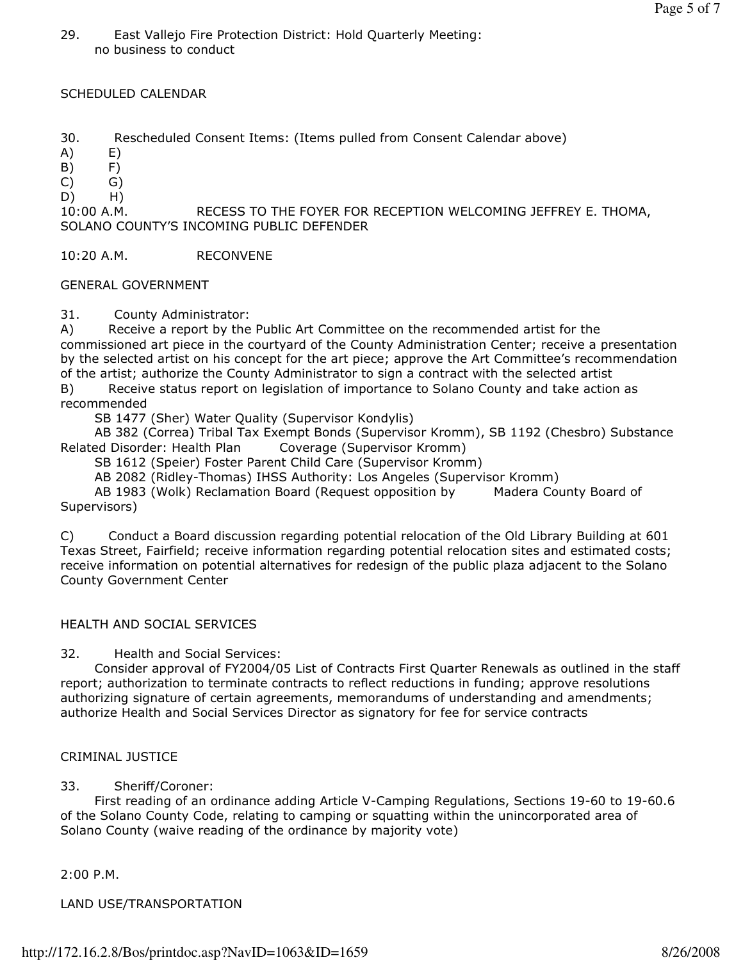29. East Vallejo Fire Protection District: Hold Quarterly Meeting: no business to conduct

#### SCHEDULED CALENDAR

30. Rescheduled Consent Items: (Items pulled from Consent Calendar above)

- A) E)
- $(B)$   $F)$
- $(C)$   $G)$
- D) H)

10:00 A.M. RECESS TO THE FOYER FOR RECEPTION WELCOMING JEFFREY E. THOMA, SOLANO COUNTY'S INCOMING PUBLIC DEFENDER

10:20 A.M. RECONVENE

#### GENERAL GOVERNMENT

31. County Administrator:

A) Receive a report by the Public Art Committee on the recommended artist for the commissioned art piece in the courtyard of the County Administration Center; receive a presentation by the selected artist on his concept for the art piece; approve the Art Committee's recommendation of the artist; authorize the County Administrator to sign a contract with the selected artist

B) Receive status report on legislation of importance to Solano County and take action as recommended

SB 1477 (Sher) Water Quality (Supervisor Kondylis)

 AB 382 (Correa) Tribal Tax Exempt Bonds (Supervisor Kromm), SB 1192 (Chesbro) Substance Related Disorder: Health Plan Coverage (Supervisor Kromm)

SB 1612 (Speier) Foster Parent Child Care (Supervisor Kromm)

AB 2082 (Ridley-Thomas) IHSS Authority: Los Angeles (Supervisor Kromm)

 AB 1983 (Wolk) Reclamation Board (Request opposition by Madera County Board of Supervisors)

C) Conduct a Board discussion regarding potential relocation of the Old Library Building at 601 Texas Street, Fairfield; receive information regarding potential relocation sites and estimated costs; receive information on potential alternatives for redesign of the public plaza adjacent to the Solano County Government Center

#### HEALTH AND SOCIAL SERVICES

32. Health and Social Services:

 Consider approval of FY2004/05 List of Contracts First Quarter Renewals as outlined in the staff report; authorization to terminate contracts to reflect reductions in funding; approve resolutions authorizing signature of certain agreements, memorandums of understanding and amendments; authorize Health and Social Services Director as signatory for fee for service contracts

#### CRIMINAL JUSTICE

33. Sheriff/Coroner:

 First reading of an ordinance adding Article V-Camping Regulations, Sections 19-60 to 19-60.6 of the Solano County Code, relating to camping or squatting within the unincorporated area of Solano County (waive reading of the ordinance by majority vote)

2:00 P.M.

LAND USE/TRANSPORTATION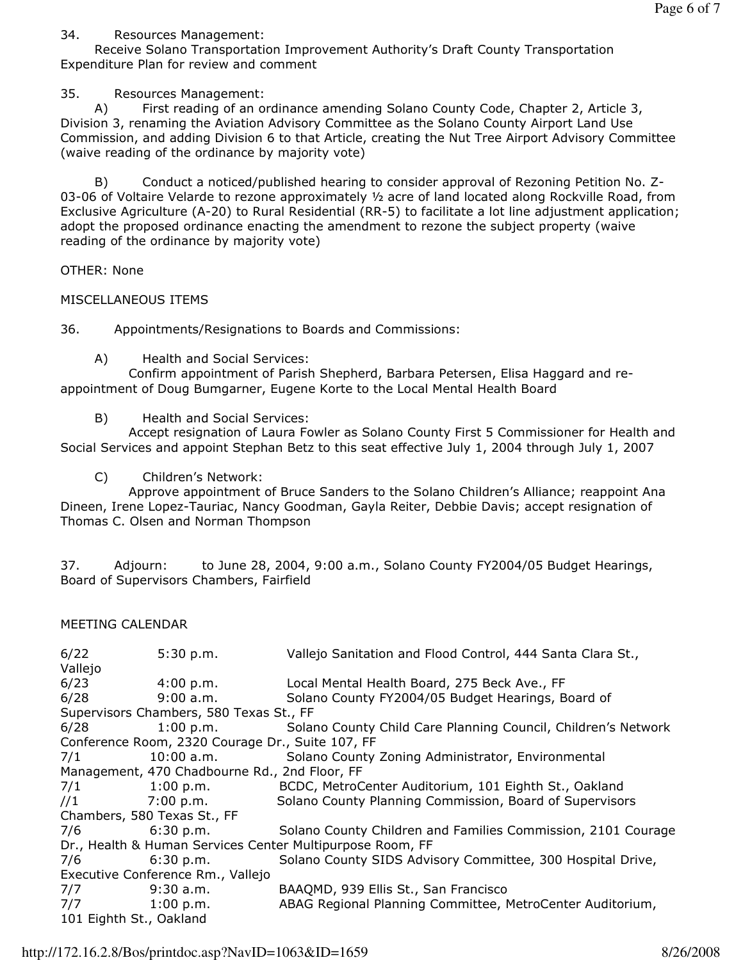### 34. Resources Management:

 Receive Solano Transportation Improvement Authority's Draft County Transportation Expenditure Plan for review and comment

35. Resources Management:

 A) First reading of an ordinance amending Solano County Code, Chapter 2, Article 3, Division 3, renaming the Aviation Advisory Committee as the Solano County Airport Land Use Commission, and adding Division 6 to that Article, creating the Nut Tree Airport Advisory Committee (waive reading of the ordinance by majority vote)

 B) Conduct a noticed/published hearing to consider approval of Rezoning Petition No. Z-03-06 of Voltaire Velarde to rezone approximately 1/2 acre of land located along Rockville Road, from Exclusive Agriculture (A-20) to Rural Residential (RR-5) to facilitate a lot line adjustment application; adopt the proposed ordinance enacting the amendment to rezone the subject property (waive reading of the ordinance by majority vote)

OTHER: None

## MISCELLANEOUS ITEMS

36. Appointments/Resignations to Boards and Commissions:

A) Health and Social Services:

 Confirm appointment of Parish Shepherd, Barbara Petersen, Elisa Haggard and reappointment of Doug Bumgarner, Eugene Korte to the Local Mental Health Board

B) Health and Social Services:

 Accept resignation of Laura Fowler as Solano County First 5 Commissioner for Health and Social Services and appoint Stephan Betz to this seat effective July 1, 2004 through July 1, 2007

C) Children's Network:

 Approve appointment of Bruce Sanders to the Solano Children's Alliance; reappoint Ana Dineen, Irene Lopez-Tauriac, Nancy Goodman, Gayla Reiter, Debbie Davis; accept resignation of Thomas C. Olsen and Norman Thompson

37. Adjourn: to June 28, 2004, 9:00 a.m., Solano County FY2004/05 Budget Hearings, Board of Supervisors Chambers, Fairfield

### MEETING CALENDAR

6/22 5:30 p.m. Vallejo Sanitation and Flood Control, 444 Santa Clara St., Vallejo 6/23 4:00 p.m. Local Mental Health Board, 275 Beck Ave., FF 6/28 9:00 a.m. Solano County FY2004/05 Budget Hearings, Board of Supervisors Chambers, 580 Texas St., FF 6/28 1:00 p.m. Solano County Child Care Planning Council, Children's Network Conference Room, 2320 Courage Dr., Suite 107, FF 7/1 10:00 a.m. Solano County Zoning Administrator, Environmental Management, 470 Chadbourne Rd., 2nd Floor, FF 7/1 1:00 p.m. BCDC, MetroCenter Auditorium, 101 Eighth St., Oakland //1 7:00 p.m. Solano County Planning Commission, Board of Supervisors Chambers, 580 Texas St., FF 7/6 6:30 p.m. Solano County Children and Families Commission, 2101 Courage Dr., Health & Human Services Center Multipurpose Room, FF 7/6 6:30 p.m. Solano County SIDS Advisory Committee, 300 Hospital Drive, Executive Conference Rm., Vallejo 7/7 9:30 a.m. BAAQMD, 939 Ellis St., San Francisco 7/7 1:00 p.m. ABAG Regional Planning Committee, MetroCenter Auditorium, 101 Eighth St., Oakland